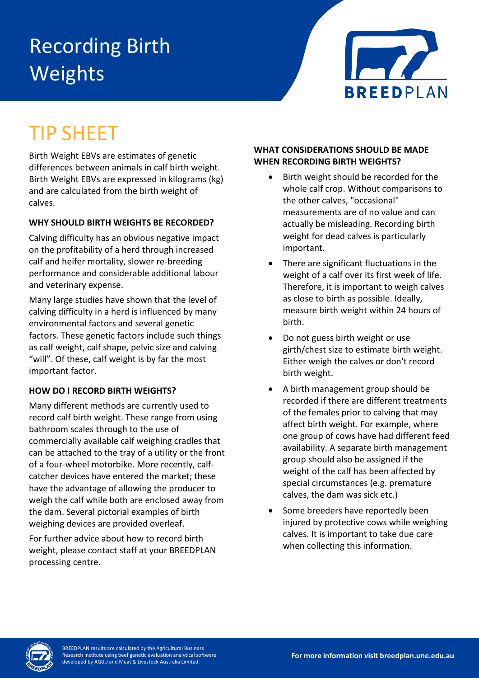# Recording Birth Weights



## TIP SHEET

Birth Weight EBVs are estimates of genetic differences between animals in calf birth weight. Birth Weight EBVs are expressed in kilograms (kg) and are calculated from the birth weight of calves.

### **WHY SHOULD BIRTH WEIGHTS BE RECORDED?**

Calving difficulty has an obvious negative impact on the profitability of a herd through increased calf and heifer mortality, slower re-breeding performance and considerable additional labour and veterinary expense.

Many large studies have shown that the level of calving difficulty in a herd is influenced by many environmental factors and several genetic factors. These genetic factors include such things as calf weight, calf shape, pelvic size and calving "will". Of these, calf weight is by far the most important factor.

#### **HOW DO I RECORD BIRTH WEIGHTS?**

Many different methods are currently used to record calf birth weight. These range from using bathroom scales through to the use of commercially available calf weighing cradles that can be attached to the tray of a utility or the front of a four-wheel motorbike. More recently, calfcatcher devices have entered the market; these have the advantage of allowing the producer to weigh the calf while both are enclosed away from the dam. Several pictorial examples of birth weighing devices are provided overleaf.

For further advice about how to record birth weight, please contact staff at your BREEDPLAN processing centre.

#### **WHAT CONSIDERATIONS SHOULD BE MADE WHEN RECORDING BIRTH WEIGHTS?**

- Birth weight should be recorded for the whole calf crop. Without comparisons to the other calves, "occasional" measurements are of no value and can actually be misleading. Recording birth weight for dead calves is particularly important.
- There are significant fluctuations in the weight of a calf over its first week of life. Therefore, it is important to weigh calves as close to birth as possible. Ideally, measure birth weight within 24 hours of birth.
- Do not guess birth weight or use girth/chest size to estimate birth weight. Either weigh the calves or don't record birth weight.
- A birth management group should be recorded if there are different treatments of the females prior to calving that may affect birth weight. For example, where one group of cows have had different feed availability. A separate birth management group should also be assigned if the weight of the calf has been affected by special circumstances (e.g. premature calves, the dam was sick etc.)
- Some breeders have reportedly been injured by protective cows while weighing calves. It is important to take due care when collecting this information.